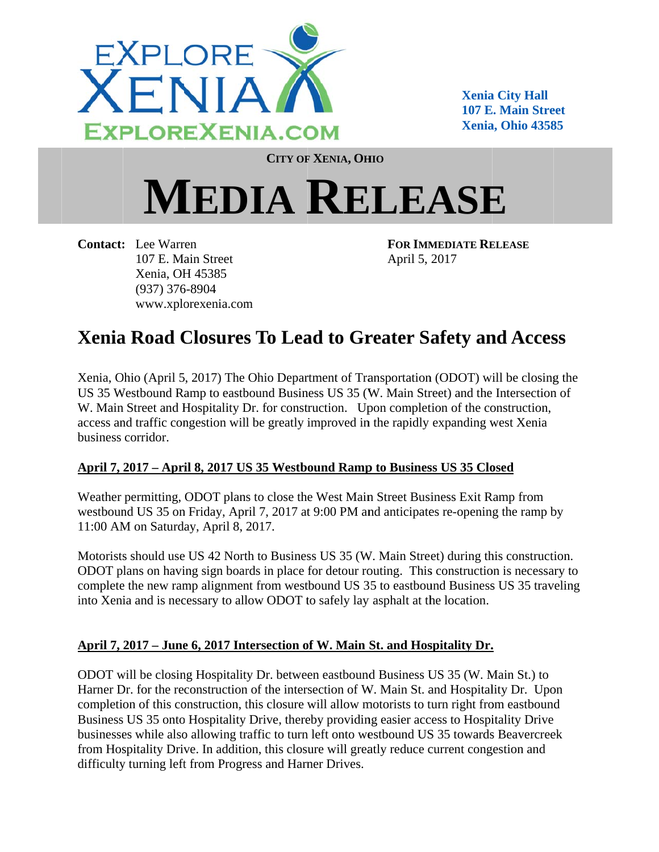

**Xenia a City Hall 107 E. Main Street Xenia a, Ohio 4358 85** 

**CITY OF F XENIA, OH HIO**

## $MEDIA$  **RELEASE**

**Contact: :** Lee Warr en 107 E. Ma ain Street Xenia, OH H 45385 (937) 376 6-8904 www.xplorexenia.com **FOR IMM MEDIATE RE ELEASE** April 5, 2017

## Xenia Road Closures To Lead to Greater Safety and Access

Xenia, Ohio (April 5, 2017) The Ohio Department of Transportation (ODOT) will be closing the US 35 Westbound Ramp to eastbound Business US 35 (W. Main Street) and the Intersection of W. Main Street and Hospitality Dr. for construction. Upon completion of the construction, access and traffic congestion will be greatly improved in the rapidly expanding west Xenia business corridor.

## April 7, 2017 – April 8, 2017 US 35 Westbound Ramp to Business US 35 Closed

Weather permitting, ODOT plans to close the West Main Street Business Exit Ramp from westbound US 35 on Friday, April 7, 2017 at 9:00 PM and anticipates re-opening the ramp by 11:00 AM on Saturday, April 8, 2017.

Motorists should use US 42 North to Business US 35 (W. Main Street) during this construction. ODOT plans on having sign boards in place for detour routing. This construction is necessary to complete the new ramp alignment from westbound US 35 to eastbound Business US 35 traveling into Xenia and is necessary to allow ODOT to safely lay asphalt at the location.

## April 7, 2017 – June 6, 2017 Intersection of W. Main St. and Hospitality Dr.

ODOT will be closing Hospitality Dr. between eastbound Business US 35 (W. Main St.) to Harner Dr. for the reconstruction of the intersection of W. Main St. and Hospitality Dr. Upon completion of this construction, this closure will allow motorists to turn right from eastbound Business US 35 onto Hospitality Drive, thereby providing easier access to Hospitality Drive businesses while also allowing traffic to turn left onto westbound US 35 towards Beavercreek from Hospitality Drive. In addition, this closure will greatly reduce current congestion and difficulty turning left from Progress and Harner Drives.